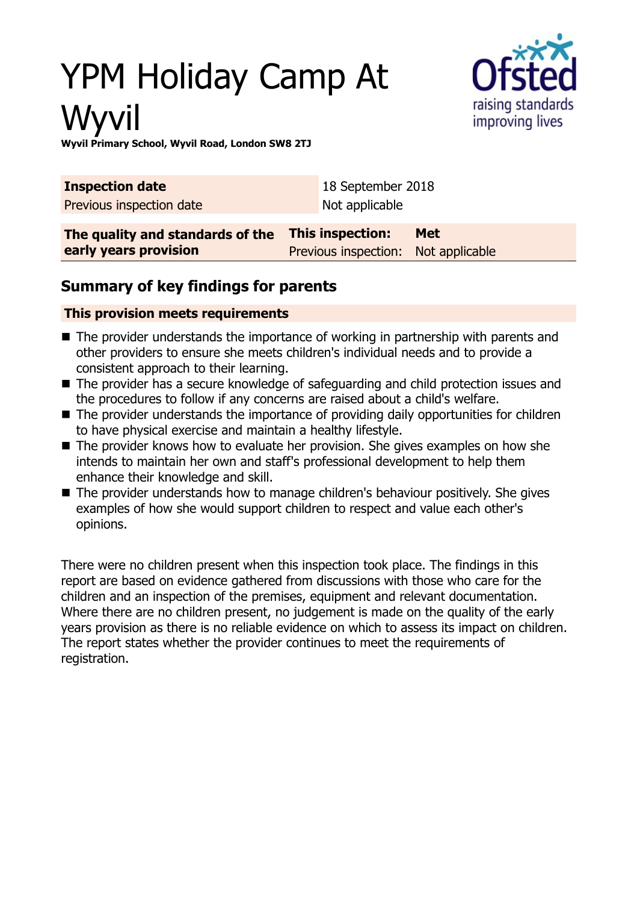# YPM Holiday Camp At Wyvil



**Wyvil Primary School, Wyvil Road, London SW8 2TJ**

| <b>Inspection date</b>                                    | 18 September 2018                                       |            |
|-----------------------------------------------------------|---------------------------------------------------------|------------|
| Previous inspection date                                  | Not applicable                                          |            |
| The quality and standards of the<br>early years provision | This inspection:<br>Previous inspection: Not applicable | <b>Met</b> |

## **Summary of key findings for parents**

#### **This provision meets requirements**

- $\blacksquare$  The provider understands the importance of working in partnership with parents and other providers to ensure she meets children's individual needs and to provide a consistent approach to their learning.
- $\blacksquare$  The provider has a secure knowledge of safeguarding and child protection issues and the procedures to follow if any concerns are raised about a child's welfare.
- $\blacksquare$  The provider understands the importance of providing daily opportunities for children to have physical exercise and maintain a healthy lifestyle.
- $\blacksquare$  The provider knows how to evaluate her provision. She gives examples on how she intends to maintain her own and staff's professional development to help them enhance their knowledge and skill.
- The provider understands how to manage children's behaviour positively. She gives examples of how she would support children to respect and value each other's opinions.

There were no children present when this inspection took place. The findings in this report are based on evidence gathered from discussions with those who care for the children and an inspection of the premises, equipment and relevant documentation. Where there are no children present, no judgement is made on the quality of the early years provision as there is no reliable evidence on which to assess its impact on children. The report states whether the provider continues to meet the requirements of registration.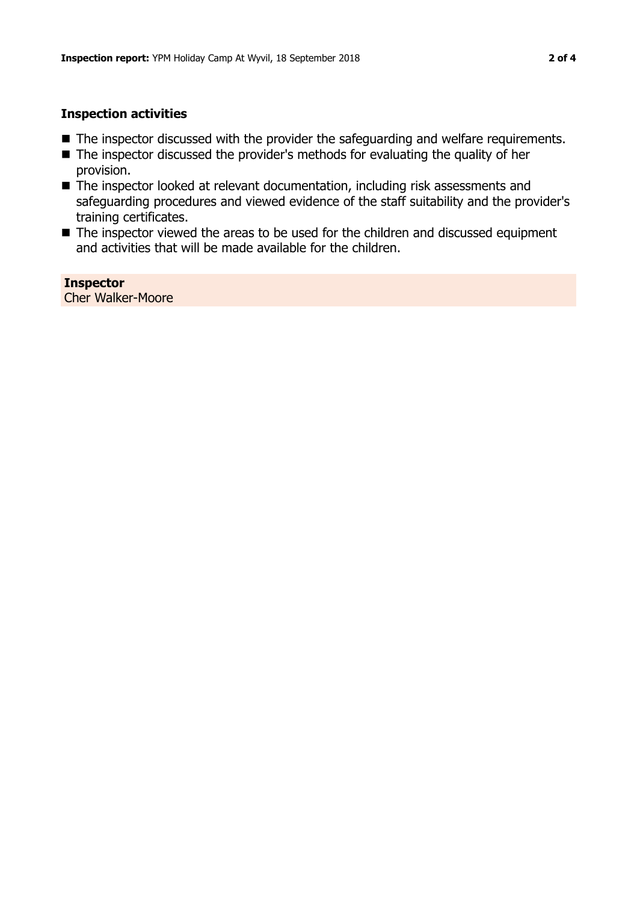#### **Inspection activities**

- $\blacksquare$  The inspector discussed with the provider the safeguarding and welfare requirements.
- $\blacksquare$  The inspector discussed the provider's methods for evaluating the quality of her provision.
- The inspector looked at relevant documentation, including risk assessments and safeguarding procedures and viewed evidence of the staff suitability and the provider's training certificates.
- The inspector viewed the areas to be used for the children and discussed equipment and activities that will be made available for the children.

**Inspector** Cher Walker-Moore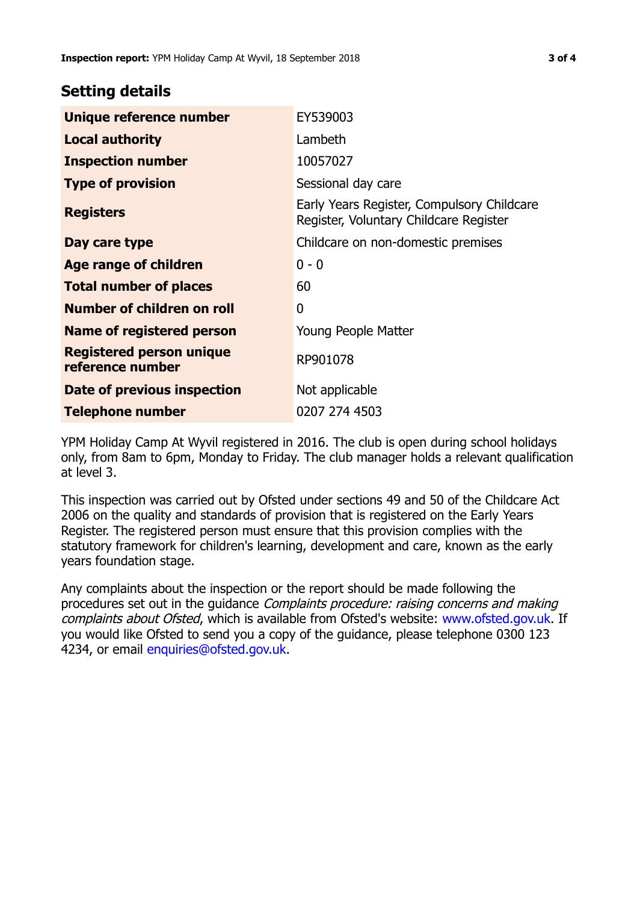### **Setting details**

| Unique reference number                             | EY539003                                                                             |  |
|-----------------------------------------------------|--------------------------------------------------------------------------------------|--|
| <b>Local authority</b>                              | Lambeth                                                                              |  |
| <b>Inspection number</b>                            | 10057027                                                                             |  |
| <b>Type of provision</b>                            | Sessional day care                                                                   |  |
| <b>Registers</b>                                    | Early Years Register, Compulsory Childcare<br>Register, Voluntary Childcare Register |  |
| Day care type                                       | Childcare on non-domestic premises                                                   |  |
| Age range of children                               | $0 - 0$                                                                              |  |
| <b>Total number of places</b>                       | 60                                                                                   |  |
| Number of children on roll                          | $\mathbf 0$                                                                          |  |
| Name of registered person                           | Young People Matter                                                                  |  |
| <b>Registered person unique</b><br>reference number | RP901078                                                                             |  |
| Date of previous inspection                         | Not applicable                                                                       |  |
| <b>Telephone number</b>                             | 0207 274 4503                                                                        |  |

YPM Holiday Camp At Wyvil registered in 2016. The club is open during school holidays only, from 8am to 6pm, Monday to Friday. The club manager holds a relevant qualification at level 3.

This inspection was carried out by Ofsted under sections 49 and 50 of the Childcare Act 2006 on the quality and standards of provision that is registered on the Early Years Register. The registered person must ensure that this provision complies with the statutory framework for children's learning, development and care, known as the early years foundation stage.

Any complaints about the inspection or the report should be made following the procedures set out in the guidance Complaints procedure: raising concerns and making complaints about Ofsted, which is available from Ofsted's website: www.ofsted.gov.uk. If you would like Ofsted to send you a copy of the guidance, please telephone 0300 123 4234, or email [enquiries@ofsted.gov.uk.](mailto:enquiries@ofsted.gov.uk)